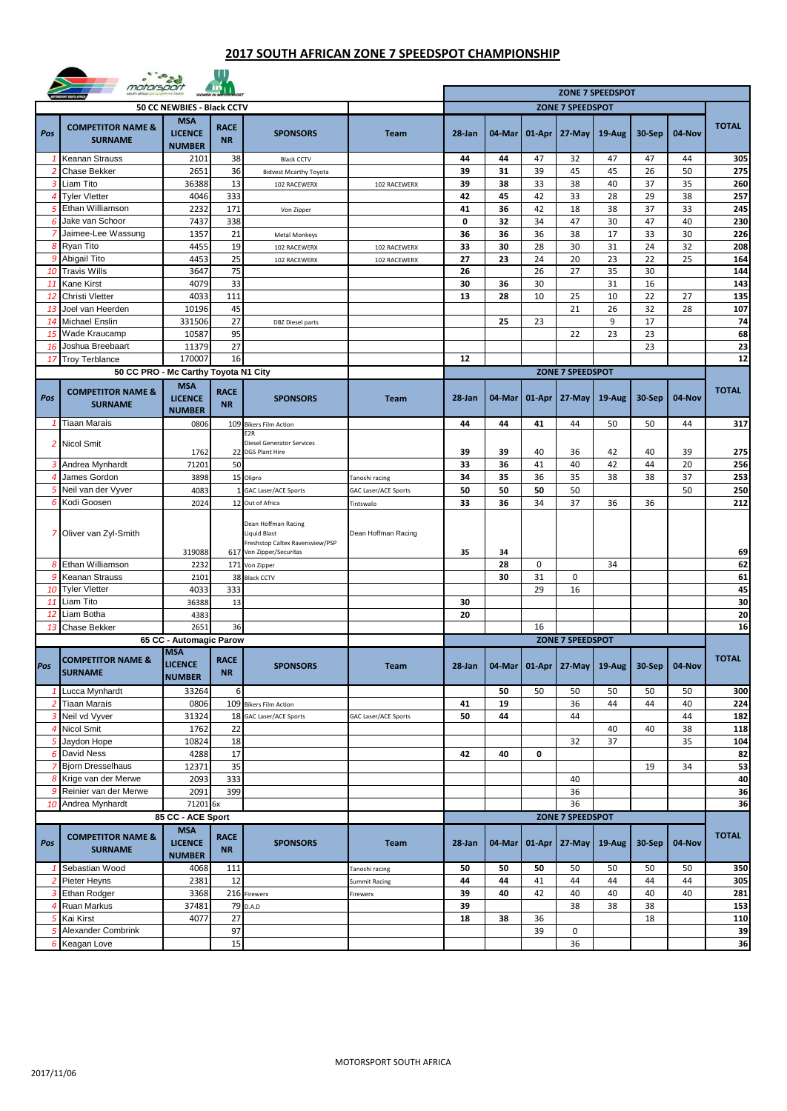## **2017 SOUTH AFRICAN ZONE 7 SPEEDSPOT CHAMPIONSHIP**



|                | motorspor                                      |                                                                    |                          |                                                                                                           |                         |             |          |             |                                   |           |          |          |              |
|----------------|------------------------------------------------|--------------------------------------------------------------------|--------------------------|-----------------------------------------------------------------------------------------------------------|-------------------------|-------------|----------|-------------|-----------------------------------|-----------|----------|----------|--------------|
|                |                                                |                                                                    |                          |                                                                                                           | <b>ZONE 7 SPEEDSPOT</b> |             |          |             |                                   |           |          |          |              |
|                |                                                | 50 CC NEWBIES - Black CCTV                                         |                          |                                                                                                           |                         |             |          |             | <b>ZONE 7 SPEEDSPOT</b>           |           |          |          |              |
| Pos            | <b>COMPETITOR NAME &amp;</b><br><b>SURNAME</b> | <b>MSA</b><br><b>LICENCE</b><br><b>NUMBER</b>                      | <b>RACE</b><br><b>NR</b> | <b>SPONSORS</b>                                                                                           | <b>Team</b>             | 28-Jan      | 04-Mar   | 01-Apr      | 27-May                            | $19-Au$ g | 30-Sep   | 04-Nov   | <b>TOTAL</b> |
| 1              | Keanan Strauss                                 | 2101                                                               | 38                       | <b>Black CCTV</b>                                                                                         |                         | 44          | 44       | 47          | 32                                | 47        | 47       | 44       | 305          |
| 2              | Chase Bekker                                   | 2651                                                               | 36                       | <b>Bidvest Mcarthy Toyota</b>                                                                             |                         | 39          | 31       | 39          | 45                                | 45        | 26       | 50       | 275          |
| 3              | Liam Tito                                      | 36388                                                              | 13                       | 102 RACEWERX                                                                                              | 102 RACEWERX            | 39          | 38       | 33          | 38                                | 40        | 37       | 35       | 260          |
| 4              | <b>Tyler Vletter</b><br>Ethan Williamson       | 4046                                                               | 333                      |                                                                                                           |                         | 42<br>41    | 45       | 42          | 33                                | 28        | 29       | 38       | 257<br>245   |
| 5<br>6         | Jake van Schoor                                | 2232<br>7437                                                       | 171<br>338               | Von Zipper                                                                                                |                         | $\mathbf 0$ | 36<br>32 | 42<br>34    | 18<br>47                          | 38<br>30  | 37<br>47 | 33<br>40 | 230          |
|                | Jaimee-Lee Wassung                             | 1357                                                               | 21                       | <b>Metal Monkeys</b>                                                                                      |                         | 36          | 36       | 36          | 38                                | 17        | 33       | 30       | 226          |
| 8              | Ryan Tito                                      | 4455                                                               | 19                       | 102 RACEWERX                                                                                              | 102 RACEWERX            | 33          | 30       | 28          | 30                                | 31        | 24       | 32       | 208          |
| 9              | Abigail Tito                                   | 4453                                                               | 25                       | 102 RACEWERX                                                                                              | 102 RACEWERX            | 27          | 23       | 24          | 20                                | 23        | 22       | 25       | 164          |
| 10             | <b>Travis Wills</b>                            | 3647                                                               | 75                       |                                                                                                           |                         | 26          |          | 26          | 27                                | 35        | 30       |          | 144          |
| 11             | Kane Kirst                                     | 4079                                                               | 33                       |                                                                                                           |                         | 30          | 36       | 30          |                                   | 31        | 16       |          | 143          |
| 12             | Christi Vletter                                | 4033                                                               | 111                      |                                                                                                           |                         | 13          | 28       | 10          | 25                                | 10        | 22       | 27       | 135          |
| 13             | Joel van Heerden                               | 10196                                                              | 45                       |                                                                                                           |                         |             |          |             | 21                                | 26        | 32       | 28       | 107          |
| 14             | Michael Enslin                                 | 331506                                                             | 27                       | <b>DBZ</b> Diesel parts                                                                                   |                         |             | 25       | 23          |                                   | 9         | 17       |          | 74           |
| 15<br>16       | Wade Kraucamp<br>Joshua Breebaart              | 10587<br>11379                                                     | 95<br>27                 |                                                                                                           |                         |             |          |             | 22                                | 23        | 23<br>23 |          | 68<br>23     |
| 17             | <b>Troy Terblance</b>                          | 170007                                                             | 16                       |                                                                                                           |                         | 12          |          |             |                                   |           |          |          | 12           |
|                | 50 CC PRO - Mc Carthy Toyota N1 City           |                                                                    |                          |                                                                                                           |                         |             |          |             | <b>ZONE 7 SPEEDSPOT</b>           |           |          |          |              |
| Pos            | <b>COMPETITOR NAME &amp;</b><br><b>SURNAME</b> | <b>MSA</b><br><b>LICENCE</b><br><b>NUMBER</b>                      | <b>RACE</b><br><b>NR</b> | <b>SPONSORS</b>                                                                                           | <b>Team</b>             | 28-Jan      | 04-Mar   | 01-Apr      | 27-May                            | 19-Aug    | 30-Sep   | 04-Nov   | <b>TOTAL</b> |
| 1              | Tiaan Marais                                   | 0806                                                               | 109                      | <b>Bikers Film Action</b>                                                                                 |                         | 44          | 44       | 41          | 44                                | 50        | 50       | 44       | 317          |
| $\overline{2}$ | <b>Nicol Smit</b>                              | 1762                                                               | 22                       | E2R<br>Diesel Generator Services<br><b>DGS Plant Hire</b>                                                 |                         | 39          | 39       | 40          | 36                                | 42        | 40       | 39       | 275          |
| 3              | Andrea Mynhardt                                | 71201                                                              | 50                       |                                                                                                           |                         | 33          | 36       | 41          | 40                                | 42        | 44       | 20       | 256          |
| 4              | James Gordon                                   | 3898                                                               | 15                       | Olipro                                                                                                    | Tanoshi racing          | 34          | 35       | 36          | 35                                | 38        | 38       | 37       | 253          |
| 5              | Neil van der Vyver                             | 4083                                                               |                          | <b>GAC Laser/ACE Sports</b>                                                                               | GAC Laser/ACE Sports    | 50          | 50       | 50          | 50                                |           |          | 50       | 250          |
|                | 6 Kodi Goosen                                  | 2024                                                               |                          | 12 Out of Africa                                                                                          | Tintswalo               | 33          | 36       | 34          | 37                                | 36        | 36       |          | 212          |
| 7              | Oliver van Zyl-Smith                           | 319088                                                             |                          | Dean Hoffman Racing<br><b>Liquid Blast</b><br>Freshstop Caltex Ravensview/PSP<br>617 Von Zipper/Securitas | Dean Hoffman Racing     | 35          | 34       |             |                                   |           |          |          | 69           |
| 8              | Ethan Williamson                               | 2232                                                               | 171                      | Von Zipper                                                                                                |                         |             | 28       | $\mathbf 0$ |                                   | 34        |          |          | 62           |
| 9              | Keanan Strauss                                 | 2101                                                               | 38                       | <b>Black CCTV</b>                                                                                         |                         |             | 30       | 31          | 0                                 |           |          |          | 61           |
| 10             | <b>Tyler Vletter</b>                           | 4033                                                               | 333                      |                                                                                                           |                         |             |          | 29          | 16                                |           |          |          | 45           |
| 11             | Liam Tito                                      | 36388                                                              | 13                       |                                                                                                           |                         | 30          |          |             |                                   |           |          |          | 30           |
| 12             | Liam Botha                                     | 4383                                                               |                          |                                                                                                           |                         | 20          |          |             |                                   |           |          |          | 20           |
| 13             | Chase Bekker                                   | 2651                                                               | 36                       |                                                                                                           |                         |             |          | 16          |                                   |           |          |          | 16           |
|                |                                                | 65 CC - Automagic Parow<br><b>MSA</b>                              |                          |                                                                                                           |                         |             |          |             | <b>ZONE 7 SPEEDSPOT</b>           |           |          |          |              |
| Pos            | <b>COMPETITOR NAME &amp;</b><br><b>SURNAME</b> | <b>LICENCE</b><br><b>NUMBER</b>                                    | <b>RACE</b><br><b>NR</b> | <b>SPONSORS</b>                                                                                           | <b>Team</b>             | $28$ -Jan   |          |             | 04-Mar   01-Apr   27-May          | 19-Aug    | $30-Sep$ | 04-Nov   | <b>TOTAL</b> |
| 1              | Lucca Mynhardt                                 | 33264                                                              | 6                        |                                                                                                           |                         |             | 50       | 50          | 50                                | 50        | 50       | 50       | 300          |
|                | <b>Tiaan Marais</b>                            | 0806                                                               |                          | 109 Bikers Film Action                                                                                    |                         | 41          | 19<br>44 |             | 36                                | 44        | 44       | 40<br>44 | 224          |
| $\overline{4}$ | 3 Neil vd Vyver<br>Nicol Smit                  | 31324<br>1762                                                      | 22                       | 18 GAC Laser/ACE Sports                                                                                   | GAC Laser/ACE Sports    | 50          |          |             | 44                                | 40        | 40       | 38       | 182<br>118   |
| 5              | Jaydon Hope                                    | 10824                                                              | 18                       |                                                                                                           |                         |             |          |             | 32                                | 37        |          | 35       | 104          |
|                | <b>6</b> David Ness                            | 4288                                                               | 17                       |                                                                                                           |                         | 42          | 40       | 0           |                                   |           |          |          | 82           |
| 7              | <b>Bjorn Dresselhaus</b>                       | 12371                                                              | 35                       |                                                                                                           |                         |             |          |             |                                   |           | 19       | 34       | 53           |
| 8              | Krige van der Merwe                            | 2093                                                               | 333                      |                                                                                                           |                         |             |          |             | 40                                |           |          |          | 40           |
|                | Reinier van der Merwe                          | 2091                                                               | 399                      |                                                                                                           |                         |             |          |             | 36                                |           |          |          | 36           |
| 10             | Andrea Mynhardt                                | 71201 6x                                                           |                          |                                                                                                           |                         |             |          |             | 36                                |           |          |          | 36           |
| Pos            | <b>COMPETITOR NAME &amp;</b><br><b>SURNAME</b> | 85 CC - ACE Sport<br><b>MSA</b><br><b>LICENCE</b><br><b>NUMBER</b> | <b>RACE</b><br><b>NR</b> | <b>SPONSORS</b>                                                                                           | <b>Team</b>             | 28-Jan      | 04-Mar   | 01-Apr      | <b>ZONE 7 SPEEDSPOT</b><br>27-May | $19-Aug$  | 30-Sep   | 04-Nov   | <b>TOTAL</b> |
|                | 1 Sebastian Wood                               | 4068                                                               | 111                      |                                                                                                           | Tanoshi racing          | 50          | 50       | 50          | 50                                | 50        | 50       | 50       | 350          |
| -2             | Pieter Heyns                                   | 2381                                                               | 12                       |                                                                                                           | Summit Racing           | 44          | 44       | 41          | 44                                | 44        | 44       | 44       | 305          |
|                | <b>Ethan Rodger</b>                            | 3368                                                               | 216                      | Firewerx                                                                                                  | Firewerx                | 39          | 40       | 42          | 40                                | 40        | 40       | 40       | 281          |
| 4              | Ruan Markus                                    | 37481                                                              |                          | 79 D.A.D                                                                                                  |                         | 39          |          |             | 38                                | 38        | 38       |          | 153          |
| 5              | Kai Kirst                                      | 4077                                                               | 27                       |                                                                                                           |                         | 18          | 38       | 36          |                                   |           | 18       |          | 110          |
|                | 5 Alexander Combrink                           |                                                                    | 97                       |                                                                                                           |                         |             |          | 39          | 0                                 |           |          |          | 39           |
|                | 6 Keagan Love                                  |                                                                    | 15                       |                                                                                                           |                         |             |          |             | 36                                |           |          |          | 36           |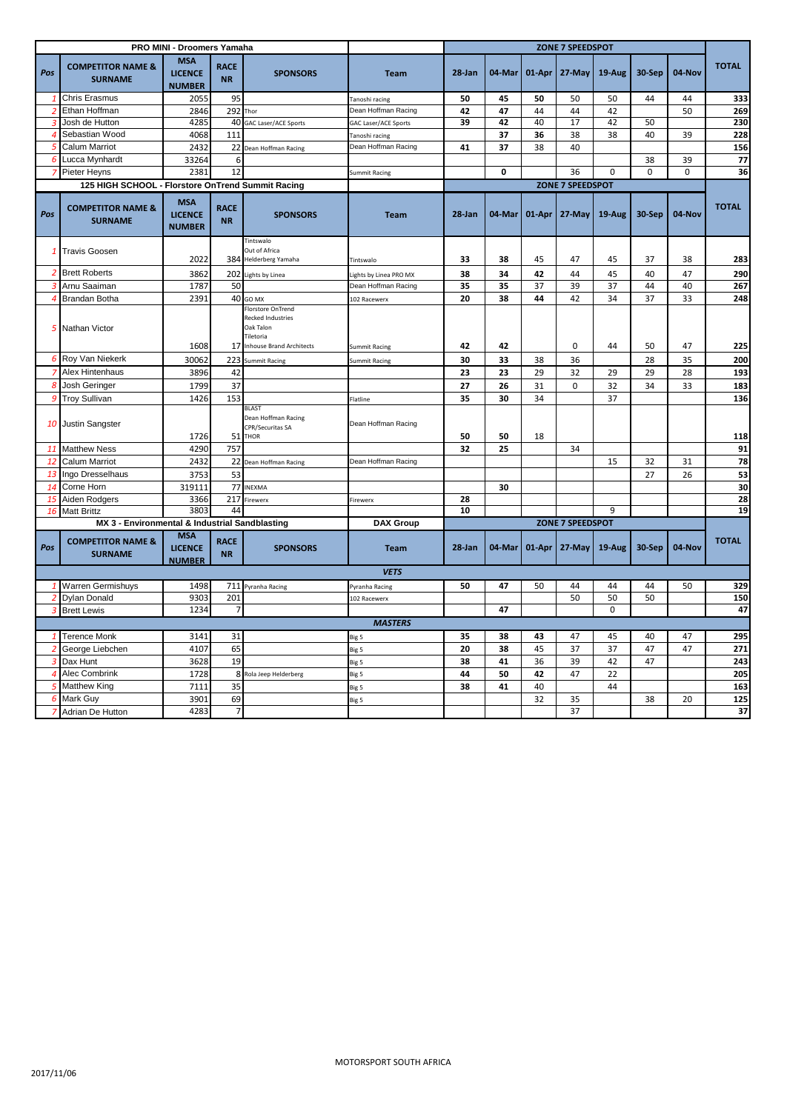|                |                                                   | PRO MINI - Droomers Yamaha<br><b>ZONE 7 SPEEDSPOT</b> |                          |                                                                                                               |                       |        |                         |        |                         |             |          |             |              |
|----------------|---------------------------------------------------|-------------------------------------------------------|--------------------------|---------------------------------------------------------------------------------------------------------------|-----------------------|--------|-------------------------|--------|-------------------------|-------------|----------|-------------|--------------|
| Pos            | <b>COMPETITOR NAME &amp;</b><br><b>SURNAME</b>    | <b>MSA</b><br><b>LICENCE</b><br><b>NUMBER</b>         | <b>RACE</b><br><b>NR</b> | <b>SPONSORS</b>                                                                                               | <b>Team</b>           | 28-Jan | 04-Mar                  | 01-Apr | 27-May                  | 19-Aug      | 30-Sep   | 04-Nov      | <b>TOTAL</b> |
| -1             | <b>Chris Erasmus</b>                              | 2055                                                  | 95                       |                                                                                                               | Tanoshi racing        | 50     | 45                      | 50     | 50                      | 50          | 44       | 44          | 333          |
| $\overline{2}$ | Ethan Hoffman                                     | 2846                                                  | 292                      | Thor                                                                                                          | Dean Hoffman Racing   | 42     | 47                      | 44     | 44                      | 42          |          | 50          | 269          |
| 3              | Josh de Hutton                                    | 4285                                                  | 40                       | GAC Laser/ACE Sports                                                                                          | GAC Laser/ACE Sports  | 39     | 42                      | 40     | 17                      | 42          | 50       |             | 230          |
|                | 4 Sebastian Wood                                  | 4068                                                  | 111                      |                                                                                                               | Tanoshi racing        |        | 37                      | 36     | 38                      | 38          | 40       | 39          | 228          |
| 5              | <b>Calum Marriot</b>                              | 2432                                                  |                          | 22 Dean Hoffman Racing                                                                                        | Dean Hoffman Racing   | 41     | 37                      | 38     | 40                      |             |          |             | 156          |
|                | 6 Lucca Mynhardt                                  | 33264                                                 | 6                        |                                                                                                               |                       |        |                         |        |                         |             | 38       | 39          | 77           |
|                | 7 Pieter Heyns                                    | 2381                                                  | 12                       |                                                                                                               | <b>Summit Racing</b>  |        | 0                       |        | 36                      | $\mathbf 0$ | $\Omega$ | $\mathbf 0$ | 36           |
|                | 125 HIGH SCHOOL - Florstore OnTrend Summit Racing |                                                       |                          |                                                                                                               |                       |        |                         |        | <b>ZONE 7 SPEEDSPOT</b> |             |          |             |              |
| Pos            | <b>COMPETITOR NAME &amp;</b><br><b>SURNAME</b>    | <b>MSA</b><br><b>LICENCE</b><br><b>NUMBER</b>         | <b>RACE</b><br><b>NR</b> | <b>SPONSORS</b>                                                                                               | <b>Team</b>           | 28-Jan | $04$ -Mar               | 01-Apr | 27-May                  | 19-Aug      | 30-Sep   | 04-Nov      | <b>TOTAL</b> |
|                | 1 Travis Goosen                                   |                                                       |                          | Tintswalo<br>Out of Africa                                                                                    |                       |        |                         |        |                         |             |          |             |              |
|                |                                                   | 2022                                                  |                          | 384 Helderberg Yamaha                                                                                         | Tintswalo             | 33     | 38                      | 45     | 47                      | 45          | 37       | 38          | 283          |
|                | 2 Brett Roberts                                   | 3862                                                  |                          | 202 Lights by Linea                                                                                           | ights by Linea PRO MX | 38     | 34                      | 42     | 44                      | 45          | 40       | 47          | 290          |
|                | 3 Arnu Saaiman                                    | 1787                                                  | 50                       |                                                                                                               | Dean Hoffman Racing   | 35     | 35                      | 37     | 39                      | 37          | 44       | 40          | 267          |
|                | 4 Brandan Botha                                   | 2391                                                  |                          | 40 GO MX                                                                                                      | 102 Racewerx          | 20     | 38                      | 44     | 42                      | 34          | 37       | 33          | 248          |
|                | 5 Nathan Victor                                   | 1608                                                  |                          | <b>Florstore OnTrend</b><br><b>Recked Industries</b><br>Oak Talon<br>Tiletoria<br>17 Inhouse Brand Architects | <b>Summit Racing</b>  | 42     | 42                      |        | $\mathbf 0$             | 44          | 50       | 47          | 225          |
|                | 6 Roy Van Niekerk                                 | 30062                                                 | 223                      | <b>Summit Racing</b>                                                                                          | <b>Summit Racing</b>  | 30     | 33                      | 38     | 36                      |             | 28       | 35          | 200          |
|                | 7 Alex Hintenhaus                                 | 3896                                                  | 42                       |                                                                                                               |                       | 23     | 23                      | 29     | 32                      | 29          | 29       | 28          | 193          |
|                | 8 Josh Geringer                                   | 1799                                                  | 37                       |                                                                                                               |                       | 27     | 26                      | 31     | $\mathbf 0$             |             | 34       | 33          | 183          |
|                | 9 Troy Sullivan                                   | 1426                                                  | 153                      |                                                                                                               | Flatline              | 35     | 30                      | 34     |                         | 32<br>37    |          |             | 136          |
|                | 10 Justin Sangster                                | 1726                                                  | 51                       | <b>BLAST</b><br>Dean Hoffman Racing<br>CPR/Securitas SA<br><b>THOR</b>                                        | Dean Hoffman Racing   | 50     | 50                      | 18     |                         |             |          |             | 118          |
| 11             | <b>Matthew Ness</b>                               | 4290                                                  | 757                      |                                                                                                               |                       | 32     | 25                      |        | 34                      |             |          |             | 91           |
| 12             | <b>Calum Marriot</b>                              | 2432                                                  |                          | 22 Dean Hoffman Racing                                                                                        | Dean Hoffman Racing   |        |                         |        |                         | 15          | 32       | 31          | 78           |
| 13             | Ingo Dresselhaus                                  | 3753                                                  | 53                       |                                                                                                               |                       |        |                         |        |                         |             | 27       | 26          | 53           |
| 14             | Corne Horn                                        | 319111                                                |                          | 77 INEXMA                                                                                                     |                       |        | 30                      |        |                         |             |          |             | 30           |
| 15             | Aiden Rodgers                                     | 3366                                                  | 217                      | Firewerx                                                                                                      | Firewerx              | 28     |                         |        |                         |             |          |             | 28           |
|                | 16 Matt Brittz                                    | 3803                                                  | 44                       |                                                                                                               |                       | 10     |                         |        |                         | 9           |          |             | 19           |
|                | MX 3 - Environmental & Industrial Sandblasting    |                                                       |                          |                                                                                                               | <b>DAX Group</b>      |        | <b>ZONE 7 SPEEDSPOT</b> |        |                         |             |          |             |              |
| Pos            | <b>COMPETITOR NAME &amp;</b><br><b>SURNAME</b>    | <b>MSA</b><br><b>LICENCE</b><br><b>NUMBER</b>         | <b>RACE</b><br><b>NR</b> | <b>SPONSORS</b>                                                                                               | <b>Team</b>           | 28-Jan | 04-Mar                  | 01-Apr | 27-May                  | 19-Aug      | 30-Sep   | 04-Nov      | <b>TOTAL</b> |
|                |                                                   |                                                       |                          |                                                                                                               | <b>VETS</b>           |        |                         |        |                         |             |          |             |              |
|                | <b>Warren Germishuys</b>                          | 1498                                                  |                          | 711 Pyranha Racing                                                                                            | Pyranha Racing        | 50     | 47                      | 50     | 44                      | 44          | 44       | 50          | 329          |
| $\overline{2}$ | <b>Dylan Donald</b>                               | 9303                                                  | 201                      |                                                                                                               | 102 Racewerx          |        |                         |        | 50                      | 50          | 50       |             | 150          |
| 3              | <b>Brett Lewis</b>                                | 1234                                                  |                          |                                                                                                               |                       |        | 47                      |        |                         | $\mathbf 0$ |          |             | 47           |
|                |                                                   |                                                       |                          |                                                                                                               | <b>MASTERS</b>        |        |                         |        |                         |             |          |             |              |
| $\mathbf{1}$   | <b>Terence Monk</b>                               | 3141                                                  | 31                       |                                                                                                               | Big 5                 | 35     | 38                      | 43     | 47                      | 45          | 40       | 47          | 295          |
| 2              | George Liebchen                                   | 4107                                                  | 65                       |                                                                                                               | Big 5                 | 20     | 38                      | 45     | 37                      | 37          | 47       | 47          | 271          |
| 3              | Dax Hunt                                          | 3628                                                  | 19                       |                                                                                                               | Big 5                 | 38     | 41                      | 36     | 39                      | 42          | 47       |             | 243          |
| $\overline{4}$ | <b>Alec Combrink</b>                              | 1728                                                  |                          | 8 Rola Jeep Helderberg                                                                                        | Big 5                 | 44     | 50                      | 42     | 47                      | 22          |          |             | 205          |
|                | 5 Matthew King                                    | 7111                                                  | 35                       |                                                                                                               | Big 5                 | 38     | 41                      | 40     |                         | 44          |          |             | 163          |
|                | 6 Mark Guy                                        | 3901                                                  | 69                       |                                                                                                               | Big 5                 |        |                         | 32     | 35                      |             | 38       | 20          | 125          |
|                | 7 Adrian De Hutton                                | 4283                                                  | $\overline{7}$           |                                                                                                               |                       |        |                         |        | 37                      |             |          |             | 37           |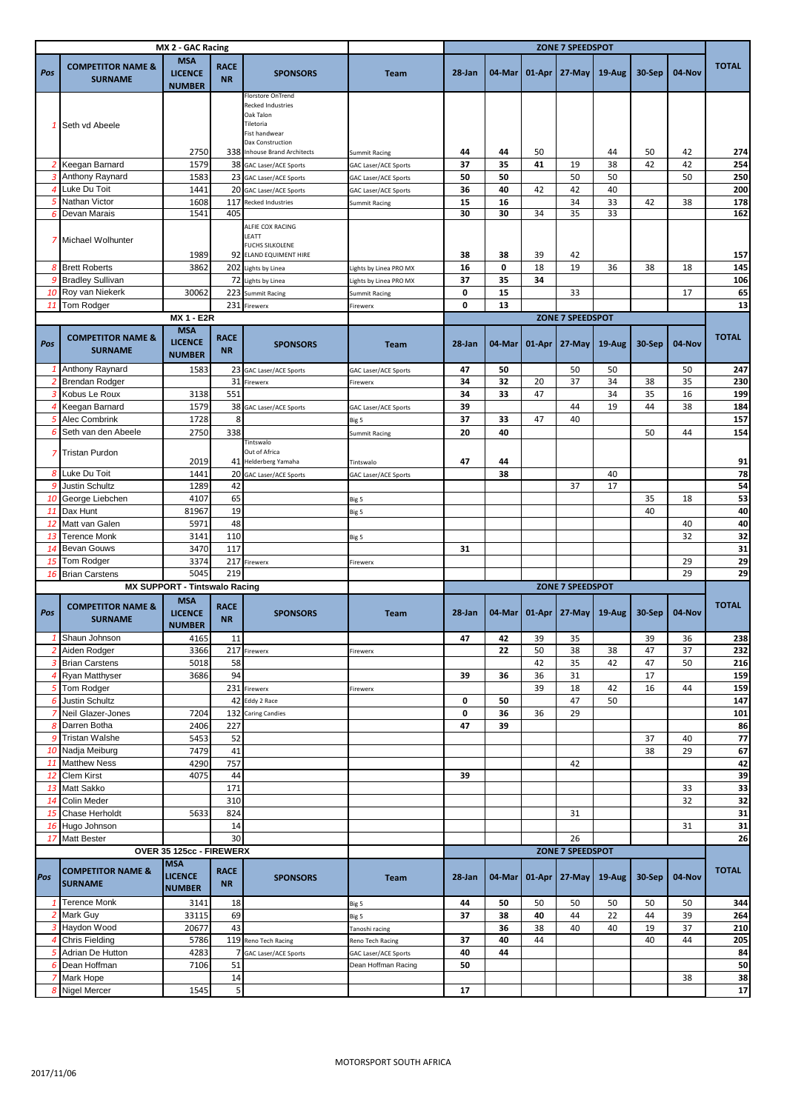| MX 2 - GAC Racing |                                                |                                               |                          | <b>ZONE 7 SPEEDSPOT</b>                                                                                      |                             |          |          |                 |                         |           |          |          |              |
|-------------------|------------------------------------------------|-----------------------------------------------|--------------------------|--------------------------------------------------------------------------------------------------------------|-----------------------------|----------|----------|-----------------|-------------------------|-----------|----------|----------|--------------|
| Pos               | <b>COMPETITOR NAME &amp;</b><br><b>SURNAME</b> | <b>MSA</b><br><b>LICENCE</b><br><b>NUMBER</b> | <b>RACE</b><br><b>NR</b> | <b>SPONSORS</b>                                                                                              | <b>Team</b>                 | 28-Jan   | 04-Mar   |                 | $01-Apr$ 27-May         | $19-Au$ g | 30-Sep   | 04-Nov   | <b>TOTAL</b> |
| 1                 | Seth vd Abeele                                 |                                               |                          | Florstore OnTrend<br><b>Recked Industries</b><br>Oak Talon<br>Tiletoria<br>Fist handwear<br>Dax Construction |                             |          |          |                 |                         |           |          |          |              |
|                   | Keegan Barnard                                 | 2750<br>1579                                  |                          | 338 Inhouse Brand Architects                                                                                 | Summit Racing               | 44<br>37 | 44<br>35 | 50<br>41        | 19                      | 44<br>38  | 50<br>42 | 42<br>42 | 274<br>254   |
| 2<br>3            |                                                |                                               |                          | 38 GAC Laser/ACE Sports<br>23 GAC Laser/ACE Sports                                                           | GAC Laser/ACE Sports        | 50       | 50       |                 | 50                      | 50        |          |          | 250          |
| 4                 | Anthony Raynard<br>Luke Du Toit                | 1583<br>1441                                  |                          |                                                                                                              | GAC Laser/ACE Sports        | 36       | 40       | 42              | 42                      | 40        |          | 50       | 200          |
|                   | Nathan Victor                                  | 1608                                          | 20<br>117                | <b>GAC Laser/ACE Sports</b><br><b>Recked Industries</b>                                                      | <b>GAC Laser/ACE Sports</b> | 15       | 16       |                 | 34                      | 33        | 42       | 38       | 178          |
| 6                 | <b>Devan Marais</b>                            | 1541                                          | 405                      |                                                                                                              | <b>Summit Racing</b>        | 30       | 30       | 34              | 35                      | 33        |          |          | 162          |
|                   | 7 Michael Wolhunter                            | 1989                                          |                          | ALFIE COX RACING<br>LEATT<br><b>FUCHS SILKOLENE</b><br>92 ELAND EQUIMENT HIRE                                |                             | 38       | 38       | 39              | 42                      |           |          |          | 157          |
|                   | 8 Brett Roberts                                | 3862                                          | 202                      | Lights by Linea                                                                                              | ights by Linea PRO MX       | 16       | 0        | 18              | 19                      | 36        | 38       | 18       | 145          |
| q                 | <b>Bradley Sullivan</b>                        |                                               | 72                       | Lights by Linea                                                                                              | Lights by Linea PRO MX      | 37       | 35       | 34              |                         |           |          |          | 106          |
| 10                | Roy van Niekerk                                | 30062                                         | 223                      | Summit Racing                                                                                                | Summit Racing               | 0        | 15       |                 | 33                      |           |          | 17       | 65           |
| 11                | Tom Rodger                                     |                                               | 231                      | Firewerx                                                                                                     | Firewerx                    | 0        | 13       |                 |                         |           |          |          | 13           |
|                   |                                                | <b>MX 1 - E2R</b>                             |                          |                                                                                                              |                             |          |          |                 | <b>ZONE 7 SPEEDSPOT</b> |           |          |          |              |
| Pos               | <b>COMPETITOR NAME &amp;</b><br><b>SURNAME</b> | <b>MSA</b><br><b>LICENCE</b><br><b>NUMBER</b> | <b>RACE</b><br><b>NR</b> | <b>SPONSORS</b>                                                                                              | <b>Team</b>                 | 28-Jan   | 04-Mar   | 01-Apr          | 27-May                  | 19-Aug    | 30-Sep   | 04-Nov   | <b>TOTAL</b> |
|                   | Anthony Raynard                                | 1583                                          |                          | 23 GAC Laser/ACE Sports                                                                                      | GAC Laser/ACE Sports        | 47       | 50       |                 | 50                      | 50        |          | 50       | 247          |
|                   | Brendan Rodger                                 |                                               | 31                       | Firewerx                                                                                                     | Firewerx                    | 34       | 32       | 20              | 37                      | 34        | 38       | 35       | 230          |
| 3                 | Kobus Le Roux                                  | 3138                                          | 551                      |                                                                                                              |                             | 34       | 33       | 47              |                         | 34        | 35       | 16       | 199          |
| 4                 | Keegan Barnard                                 | 1579                                          |                          | 38 GAC Laser/ACE Sports                                                                                      | GAC Laser/ACE Sports        | 39       |          |                 | 44                      | 19        | 44       | 38       | 184          |
|                   | <b>Alec Combrink</b>                           | 1728                                          | 8                        |                                                                                                              | Big 5                       | 37       | 33       | 47              | 40                      |           |          |          | 157          |
| 6                 | Seth van den Abeele                            | 2750                                          | 338                      |                                                                                                              | <b>Summit Racing</b>        | 20       | 40       |                 |                         |           | 50       | 44       | 154          |
|                   | 7 Tristan Purdon                               | 2019                                          |                          | Tintswalo<br>Out of Africa<br>41 Helderberg Yamaha                                                           | Tintswalo                   | 47       | 44       |                 |                         |           |          |          | 91           |
| 8                 | Luke Du Toit                                   | 1441                                          |                          | 20 GAC Laser/ACE Sports                                                                                      | GAC Laser/ACE Sports        |          | 38       |                 |                         | 40        |          |          | 78           |
| q                 | Justin Schultz                                 | 1289                                          | 42                       |                                                                                                              |                             |          |          |                 | 37                      | 17        |          |          | 54           |
| 10                | George Liebchen                                | 4107                                          | 65                       |                                                                                                              | Big 5                       |          |          |                 |                         |           | 35       | 18       | 53           |
| 11                | Dax Hunt                                       | 81967                                         | 19                       |                                                                                                              | Big 5                       |          |          |                 |                         |           | 40       |          | 40           |
| 12                | Matt van Galen                                 | 5971                                          | 48                       |                                                                                                              |                             |          |          |                 |                         |           |          | 40       | 40           |
| 13                | Terence Monk                                   | 3141                                          | 110                      |                                                                                                              | Big 5                       |          |          |                 |                         |           |          | 32       | 32           |
| 14                | <b>Bevan Gouws</b>                             | 3470                                          | 117                      |                                                                                                              |                             | 31       |          |                 |                         |           |          |          | 31           |
| 15                | Tom Rodger                                     | 3374                                          | 217                      |                                                                                                              |                             |          |          |                 |                         |           |          | 29       | 29           |
| 16                | <b>Brian Carstens</b>                          | 5045                                          | 219                      | Firewerx                                                                                                     | Firewerx                    |          |          |                 |                         |           |          | 29       | 29           |
|                   |                                                | <b>MX SUPPORT - Tintswalo Racing</b>          |                          |                                                                                                              |                             |          |          |                 | <b>ZONE 7 SPEEDSPOT</b> |           |          |          |              |
|                   |                                                | <b>MSA</b>                                    |                          |                                                                                                              |                             |          |          |                 |                         |           |          |          |              |
| Pos               | <b>COMPETITOR NAME &amp;</b><br><b>SURNAME</b> | <b>LICENCE</b><br><b>NUMBER</b>               | <b>RACE</b><br><b>NR</b> | <b>SPONSORS</b>                                                                                              | <b>Team</b>                 | 28-Jan   |          | 04-Mar   01-Apr | $27$ -May               | $19-Aug$  | 30-Sep   | 04-Nov   | <b>TOTAL</b> |
|                   | 1 Shaun Johnson                                | 4165                                          | 11                       |                                                                                                              |                             | 47       | 42       | 39              | 35                      |           | 39       | 36       | 238          |
|                   | 2 Aiden Rodger                                 | 3366                                          |                          | 217 Firewerx                                                                                                 | Firewerx                    |          | 22       | 50              | 38                      | 38        | 47       | 37       | 232          |
|                   | 3 Brian Carstens                               | 5018                                          | 58                       |                                                                                                              |                             |          |          | 42              | 35                      | 42        | 47       | 50       | 216          |
|                   | 4 Ryan Matthyser                               | 3686                                          | 94                       |                                                                                                              |                             | 39       | 36       | 36              | 31                      |           | 17       |          | 159          |
|                   | 5 Tom Rodger                                   |                                               |                          | 231 Firewerx                                                                                                 | Firewerx                    |          |          | 39              | 18                      | 42        | 16       | 44       | 159          |
| 6                 | <b>Justin Schultz</b>                          |                                               | 42                       | Eddy 2 Race<br><b>Caring Candies</b>                                                                         |                             | 0        | 50       |                 | 47                      | 50        |          |          | 147          |
|                   | Neil Glazer-Jones                              | 7204                                          | 132                      |                                                                                                              |                             | 0        | 36       | 36              | 29                      |           |          |          | 101          |
| 8<br>9            | Darren Botha<br><b>Tristan Walshe</b>          | 2406                                          | 227                      |                                                                                                              |                             | 47       | 39       |                 |                         |           |          |          | 86           |
| 10                | Nadja Meiburg                                  | 5453<br>7479                                  | 52<br>41                 |                                                                                                              |                             |          |          |                 |                         |           | 37<br>38 | 40<br>29 | 77<br>67     |
| 11                | <b>Matthew Ness</b>                            | 4290                                          | 757                      |                                                                                                              |                             |          |          |                 | 42                      |           |          |          | 42           |
| 12                | <b>Clem Kirst</b>                              | 4075                                          | 44                       |                                                                                                              |                             | 39       |          |                 |                         |           |          |          | 39           |
| 13                | Matt Sakko                                     |                                               | 171                      |                                                                                                              |                             |          |          |                 |                         |           |          | 33       | 33           |
| 14                | Colin Meder                                    |                                               | 310                      |                                                                                                              |                             |          |          |                 |                         |           |          | 32       | 32           |
| 15                | Chase Herholdt                                 | 5633                                          | 824                      |                                                                                                              |                             |          |          |                 | 31                      |           |          |          | 31           |
|                   | 16 Hugo Johnson                                |                                               | 14                       |                                                                                                              |                             |          |          |                 |                         |           |          | 31       | 31           |
|                   | 17 Matt Bester                                 |                                               | 30                       |                                                                                                              |                             |          |          |                 | 26                      |           |          |          | 26           |
|                   |                                                | OVER 35 125cc - FIREWERX                      |                          |                                                                                                              |                             |          |          |                 | ZONE 7 SPEEDSPOT        |           |          |          |              |
| Pos               | <b>COMPETITOR NAME &amp;</b><br><b>SURNAME</b> | <b>MSA</b><br><b>LICENCE</b>                  | <b>RACE</b><br><b>NR</b> | <b>SPONSORS</b>                                                                                              | <b>Team</b>                 | 28-Jan   | 04-Mar   | $01-Apr$        | 27-May                  | $19$ -Aug | 30-Sep   | 04-Nov   | <b>TOTAL</b> |
|                   |                                                | <b>NUMBER</b>                                 |                          |                                                                                                              |                             |          |          |                 |                         |           |          |          |              |
|                   | <b>Terence Monk</b>                            | 3141                                          | 18                       |                                                                                                              | Big 5                       | 44       | 50       | 50              | 50                      | 50        | 50       | 50       | 344          |
|                   | Mark Guy                                       | 33115                                         | 69                       |                                                                                                              | Big 5                       | 37       | 38       | 40              | 44                      | 22        | 44       | 39       | 264          |
| з                 | Haydon Wood                                    | 20677                                         | 43                       |                                                                                                              | Tanoshi racing              |          | 36       | 38              | 40                      | 40        | 19       | 37       | 210          |
| 4                 | <b>Chris Fielding</b>                          | 5786                                          |                          | 119 Reno Tech Racing                                                                                         | Reno Tech Racing            | 37       | 40       | 44              |                         |           | 40       | 44       | 205          |
| 5                 | Adrian De Hutton                               | 4283                                          |                          | <b>GAC Laser/ACE Sports</b>                                                                                  | GAC Laser/ACE Sports        | 40       | 44       |                 |                         |           |          |          | 84           |
| 6                 | Dean Hoffman                                   | 7106                                          | 51                       |                                                                                                              | Dean Hoffman Racing         | 50       |          |                 |                         |           |          |          | 50           |
| 7                 | Mark Hope                                      |                                               | 14                       |                                                                                                              |                             |          |          |                 |                         |           |          | 38       | 38           |
| 8                 | Nigel Mercer                                   | 1545                                          | 5                        |                                                                                                              |                             | 17       |          |                 |                         |           |          |          | $17$         |